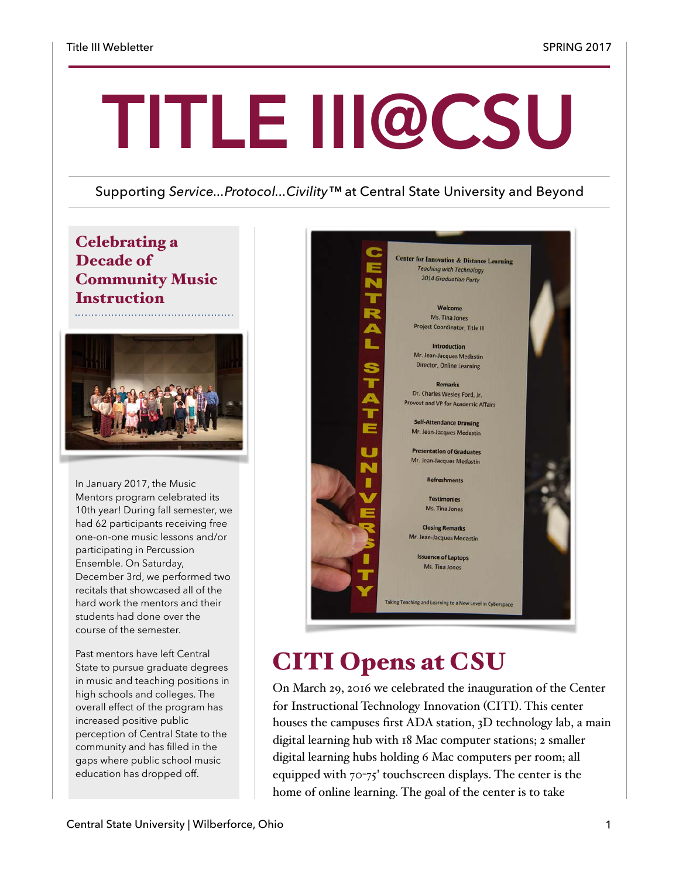# **TITLE III@CSU**

#### Supporting *Service...Protocol...Civility™* at Central State University and Beyond

### Celebrating a Decade of Community Music **Instruction**



In January 2017, the Music Mentors program celebrated its 10th year! During fall semester, we had 62 participants receiving free one-on-one music lessons and/or participating in Percussion Ensemble. On Saturday, December 3rd, we performed two recitals that showcased all of the hard work the mentors and their students had done over the course of the semester.

Past mentors have left Central State to pursue graduate degrees in music and teaching positions in high schools and colleges. The overall effect of the program has increased positive public perception of Central State to the community and has filled in the gaps where public school music education has dropped off.



# CITI Opens at CSU

On March 29, 2016 we celebrated the inauguration of the Center for Instructional Technology Innovation (CITI). This center houses the campuses first ADA station, 3D technology lab, a main digital learning hub with 18 Mac computer stations; 2 smaller digital learning hubs holding 6 Mac computers per room; all equipped with 70-75' touchscreen displays. The center is the home of online learning. The goal of the center is to take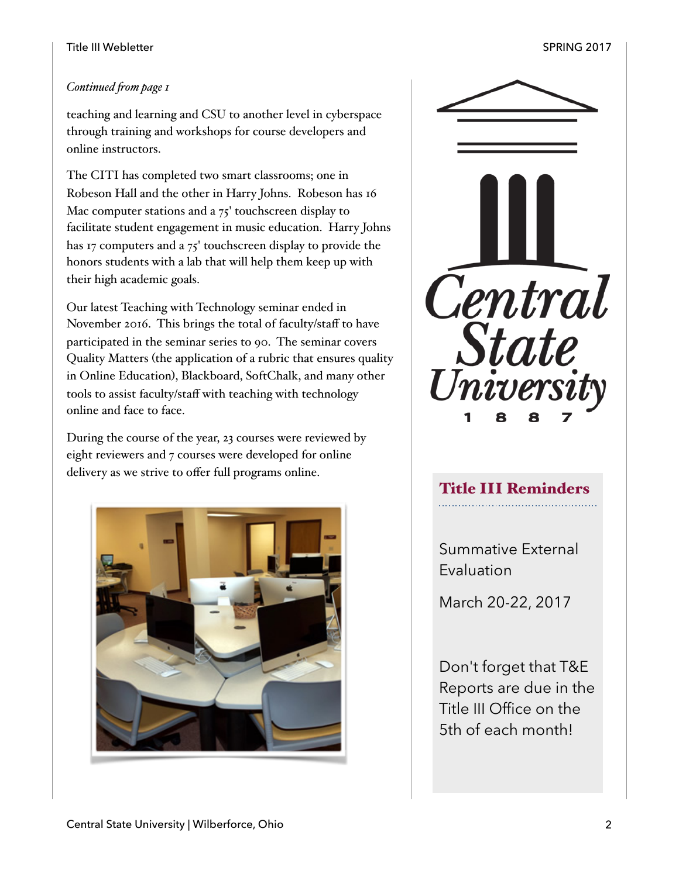#### *Continued fom page 1*

teaching and learning and CSU to another level in cyberspace through training and workshops for course developers and online instructors.

The CITI has completed two smart classrooms; one in Robeson Hall and the other in Harry Johns. Robeson has 16 Mac computer stations and a 75' touchscreen display to facilitate student engagement in music education. Harry Johns has 17 computers and a 75' touchscreen display to provide the honors students with a lab that will help them keep up with their high academic goals.

Our latest Teaching with Technology seminar ended in November 2016. This brings the total of faculty/staff to have participated in the seminar series to 90. The seminar covers Quality Matters (the application of a rubric that ensures quality in Online Education), Blackboard, SoftChalk, and many other tools to assist faculty/staff with teaching with technology online and face to face.

During the course of the year, 23 courses were reviewed by eight reviewers and 7 courses were developed for online delivery as we strive to offer full programs online.





## Title III Reminders

Summative External Evaluation

March 20-22, 2017

Don't forget that T&E Reports are due in the Title III Office on the 5th of each month!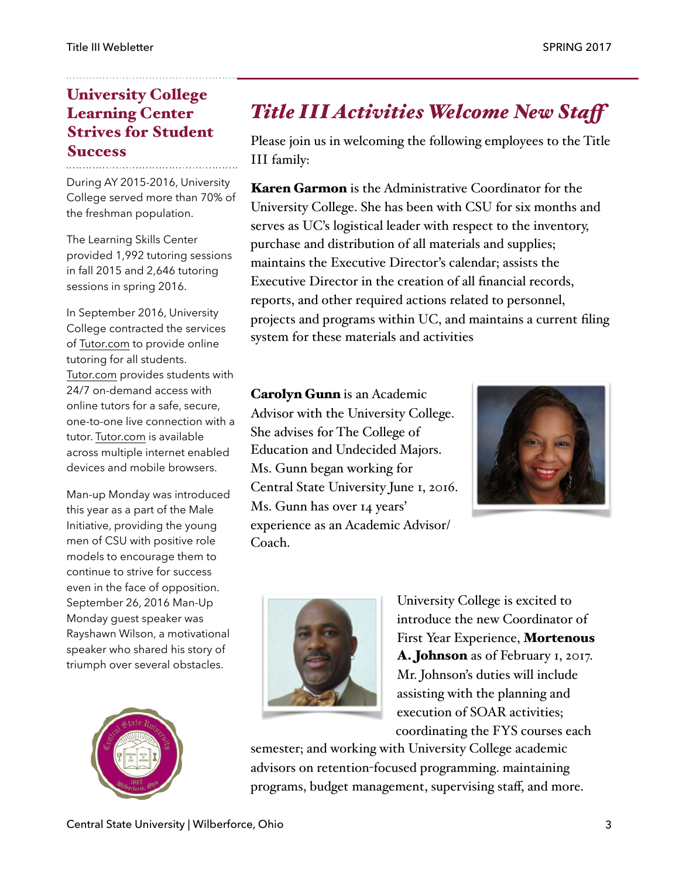## University College Learning Center Strives for Student Success

During AY 2015-2016, University College served more than 70% of the freshman population.

The Learning Skills Center provided 1,992 tutoring sessions in fall 2015 and 2,646 tutoring sessions in spring 2016.

In September 2016, University College contracted the services of [Tutor.com](http://Tutor.com) to provide online tutoring for all students. [Tutor.com](http://Tutor.com) provides students with 24/7 on-demand access with online tutors for a safe, secure, one-to-one live connection with a tutor. [Tutor.com](http://Tutor.com) is available across multiple internet enabled devices and mobile browsers.

Man-up Monday was introduced this year as a part of the Male Initiative, providing the young men of CSU with positive role models to encourage them to continue to strive for success even in the face of opposition. September 26, 2016 Man-Up Monday guest speaker was Rayshawn Wilson, a motivational speaker who shared his story of triumph over several obstacles.



## *Title III Activities Welcome New Staf*

Please join us in welcoming the following employees to the Title III family:

Karen Garmon is the Administrative Coordinator for the University College. She has been with CSU for six months and serves as UC's logistical leader with respect to the inventory, purchase and distribution of all materials and supplies; maintains the Executive Director's calendar; assists the Executive Director in the creation of all financial records, reports, and other required actions related to personnel, projects and programs within UC, and maintains a current filing system for these materials and activities

Carolyn Gunn is an Academic Advisor with the University College. She advises for The College of Education and Undecided Majors. Ms. Gunn began working for Central State University June 1, 2016. Ms. Gunn has over 14 years' experience as an Academic Advisor/ Coach.





University College is excited to introduce the new Coordinator of First Year Experience, Mortenous A. Johnson as of February 1, 2017. Mr. Johnson's duties will include assisting with the planning and execution of SOAR activities; coordinating the FYS courses each

semester; and working with University College academic advisors on retention-focused programming. maintaining programs, budget management, supervising staff, and more.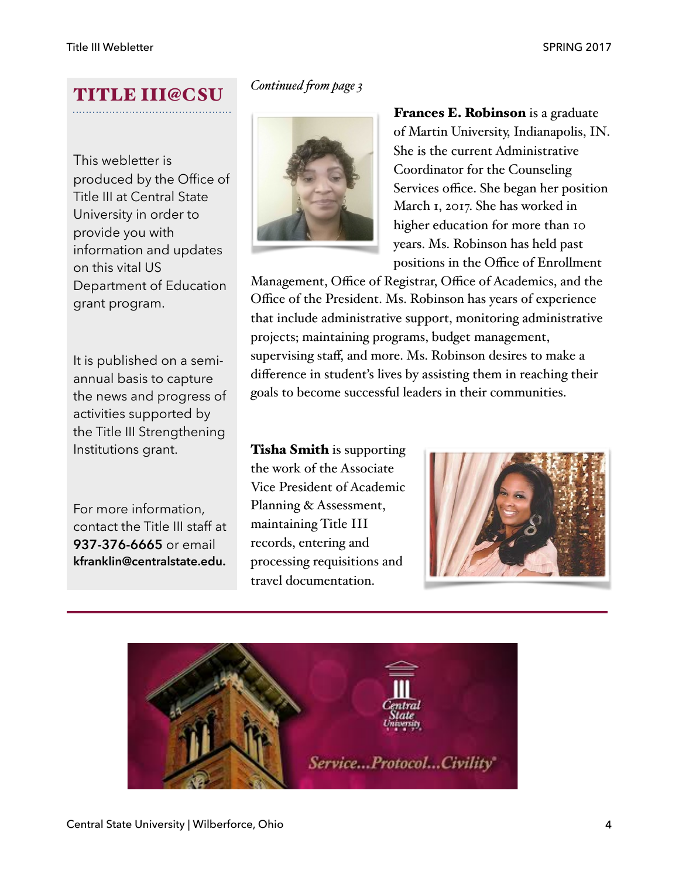# TITLE III@CSU

This webletter is produced by the Office of Title III at Central State University in order to provide you with information and updates on this vital US Department of Education grant program.

It is published on a semiannual basis to capture the news and progress of activities supported by the Title III Strengthening Institutions grant.

For more information, contact the Title III staff at **937-376-6665** or email **kfranklin@centralstate.edu.**

#### *Continued fom page 3*



Frances E. Robinson is a graduate of Martin University, Indianapolis, IN. She is the current Administrative Coordinator for the Counseling Services office. She began her position March 1, 2017. She has worked in higher education for more than 10 years. Ms. Robinson has held past positions in the Office of Enrollment

Management, Office of Registrar, Office of Academics, and the Office of the President. Ms. Robinson has years of experience that include administrative support, monitoring administrative projects; maintaining programs, budget management, supervising staff, and more. Ms. Robinson desires to make a difference in student's lives by assisting them in reaching their goals to become successful leaders in their communities.

**Tisha Smith** is supporting the work of the Associate Vice President of Academic Planning & Assessment, maintaining Title III records, entering and processing requisitions and travel documentation.



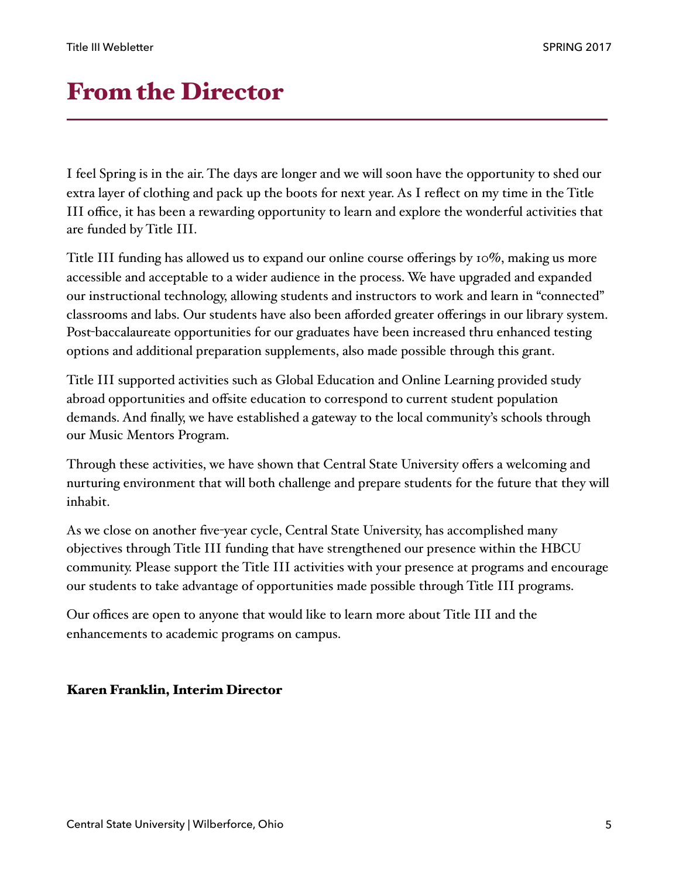## From the Director

I feel Spring is in the air. The days are longer and we will soon have the opportunity to shed our extra layer of clothing and pack up the boots for next year. As I reflect on my time in the Title III office, it has been a rewarding opportunity to learn and explore the wonderful activities that are funded by Title III.

Title III funding has allowed us to expand our online course offerings by 10%, making us more accessible and acceptable to a wider audience in the process. We have upgraded and expanded our instructional technology, allowing students and instructors to work and learn in "connected" classrooms and labs. Our students have also been afforded greater offerings in our library system. Post-baccalaureate opportunities for our graduates have been increased thru enhanced testing options and additional preparation supplements, also made possible through this grant.

Title III supported activities such as Global Education and Online Learning provided study abroad opportunities and offsite education to correspond to current student population demands. And finally, we have established a gateway to the local community's schools through our Music Mentors Program.

Through these activities, we have shown that Central State University offers a welcoming and nurturing environment that will both challenge and prepare students for the future that they will inhabit.

As we close on another five-year cycle, Central State University, has accomplished many objectives through Title III funding that have strengthened our presence within the HBCU community. Please support the Title III activities with your presence at programs and encourage our students to take advantage of opportunities made possible through Title III programs.

Our offices are open to anyone that would like to learn more about Title III and the enhancements to academic programs on campus.

#### Karen Franklin, Interim Director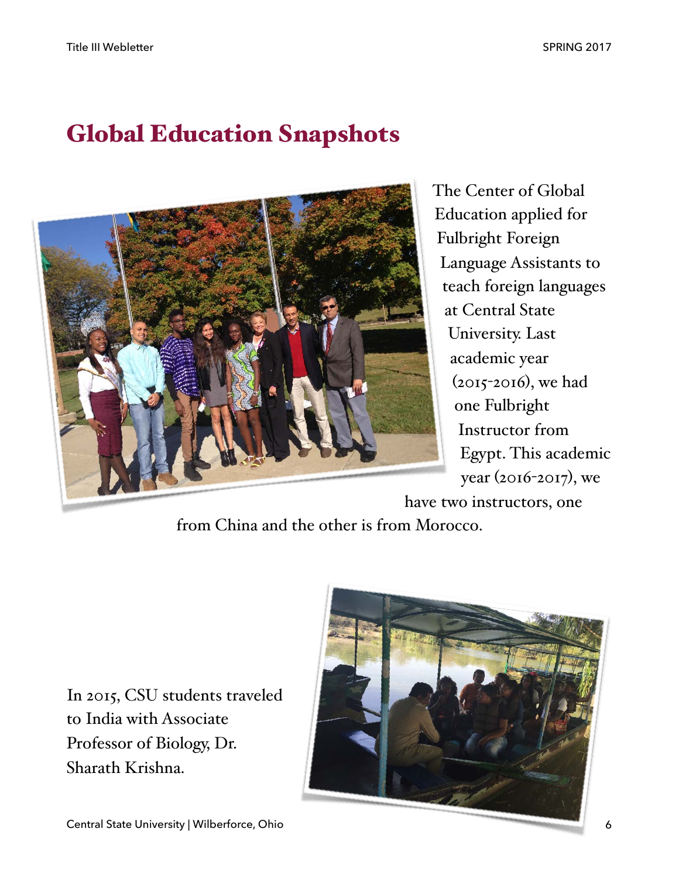# Global Education Snapshots



The Center of Global Education applied for Fulbright Foreign Language Assistants to teach foreign languages at Central State University. Last academic year (2015-2016), we had one Fulbright Instructor from Egypt. This academic year (2016-2017), we

have two instructors, one

from China and the other is from Morocco.

In 2015, CSU students traveled to India with Associate Professor of Biology, Dr. Sharath Krishna.